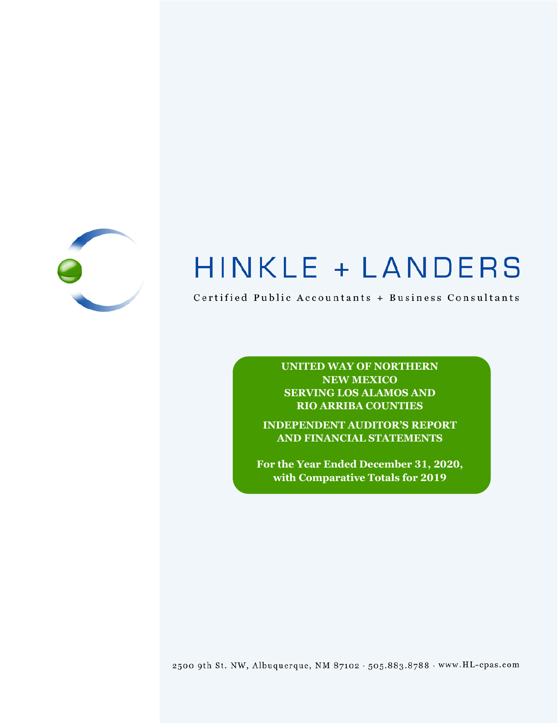

# HINKLE + LANDERS

Certified Public Accountants + Business Consultants

**UNITED WAY OF NORTHERN NEW MEXICO SERVING LOS ALAMOS AND RIO ARRIBA COUNTIES**

**INDEPENDENT AUDITOR'S REPORT AND FINANCIAL STATEMENTS**

**For the Year Ended December 31, 2020, with Comparative Totals for 2019**

2500 9th St. NW, Albuquerque, NM 87102 . 505.883.8788 . www.HL-cpas.com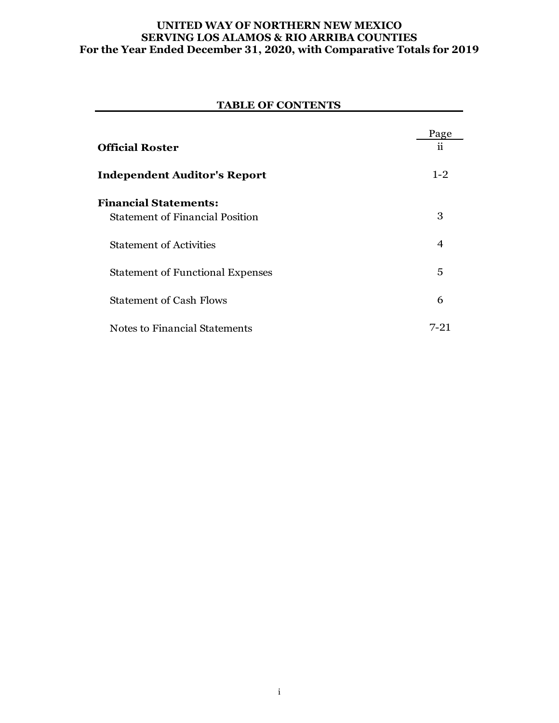#### **UNITED WAY OF NORTHERN NEW MEXICO SERVING LOS ALAMOS & RIO ARRIBA COUNTIES For the Year Ended December 31, 2020, with Comparative Totals for 2019**

# Page **Official Roster** ii **Independent Auditor's Report** 1-2 **Financial Statements:** Statement of Financial Position 3 Statement of Activities 4 Statement of Functional Expenses 5 Statement of Cash Flows 6 **TABLE OF CONTENTS**

Notes to Financial Statements 7-21

i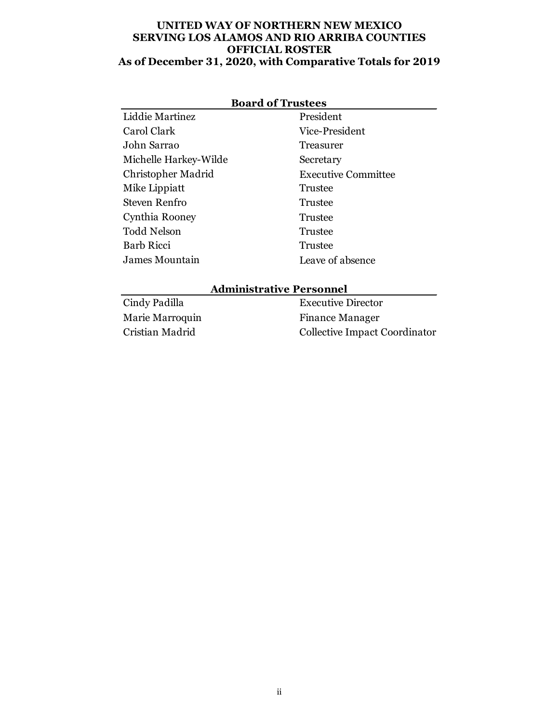#### **UNITED WAY OF NORTHERN NEW MEXICO SERVING LOS ALAMOS AND RIO ARRIBA COUNTIES OFFICIAL ROSTER As of December 31, 2020, with Comparative Totals for 2019**

| <b>Board of Trustees</b> |                            |  |  |  |
|--------------------------|----------------------------|--|--|--|
| Liddie Martinez          | President                  |  |  |  |
| Carol Clark              | Vice-President             |  |  |  |
| John Sarrao              | Treasurer                  |  |  |  |
| Michelle Harkey-Wilde    | Secretary                  |  |  |  |
| Christopher Madrid       | <b>Executive Committee</b> |  |  |  |
| Mike Lippiatt            | Trustee                    |  |  |  |
| Steven Renfro            | Trustee                    |  |  |  |
| Cynthia Rooney           | Trustee                    |  |  |  |
| <b>Todd Nelson</b>       | Trustee                    |  |  |  |
| Barb Ricci               | Trustee                    |  |  |  |
| James Mountain           | Leave of absence           |  |  |  |

#### **Administrative Personnel**

| Cindy Padilla   | <b>Executive Director</b>     |
|-----------------|-------------------------------|
| Marie Marroquin | <b>Finance Manager</b>        |
| Cristian Madrid | Collective Impact Coordinator |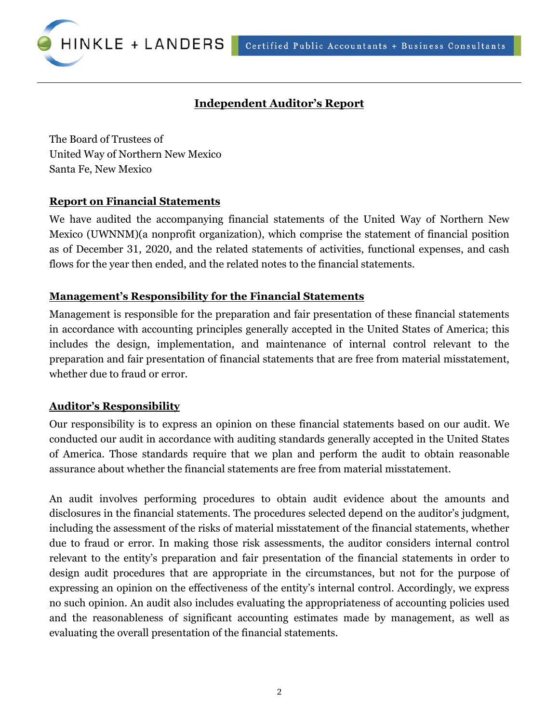Certified Public Accountants + Business Consultants



# **Independent Auditor's Report**

The Board of Trustees of United Way of Northern New Mexico Santa Fe, New Mexico

#### **Report on Financial Statements**

We have audited the accompanying financial statements of the United Way of Northern New Mexico (UWNNM)(a nonprofit organization), which comprise the statement of financial position as of December 31, 2020, and the related statements of activities, functional expenses, and cash flows for the year then ended, and the related notes to the financial statements.

# **Management's Responsibility for the Financial Statements**

Management is responsible for the preparation and fair presentation of these financial statements in accordance with accounting principles generally accepted in the United States of America; this includes the design, implementation, and maintenance of internal control relevant to the preparation and fair presentation of financial statements that are free from material misstatement, whether due to fraud or error.

# **Auditor's Responsibility**

Our responsibility is to express an opinion on these financial statements based on our audit. We conducted our audit in accordance with auditing standards generally accepted in the United States of America. Those standards require that we plan and perform the audit to obtain reasonable assurance about whether the financial statements are free from material misstatement.

An audit involves performing procedures to obtain audit evidence about the amounts and disclosures in the financial statements. The procedures selected depend on the auditor's judgment, including the assessment of the risks of material misstatement of the financial statements, whether due to fraud or error. In making those risk assessments, the auditor considers internal control relevant to the entity's preparation and fair presentation of the financial statements in order to design audit procedures that are appropriate in the circumstances, but not for the purpose of expressing an opinion on the effectiveness of the entity's internal control. Accordingly, we express no such opinion. An audit also includes evaluating the appropriateness of accounting policies used and the reasonableness of significant accounting estimates made by management, as well as evaluating the overall presentation of the financial statements.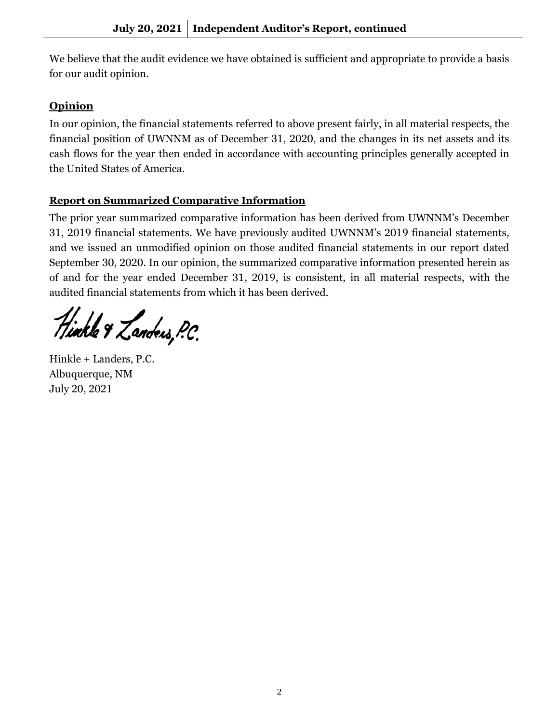We believe that the audit evidence we have obtained is sufficient and appropriate to provide a basis for our audit opinion.

# **Opinion**

In our opinion, the financial statements referred to above present fairly, in all material respects, the financial position of UWNNM as of December 31, 2020, and the changes in its net assets and its cash flows for the year then ended in accordance with accounting principles generally accepted in the United States of America.

# **Report on Summarized Comparative Information**

The prior year summarized comparative information has been derived from UWNNM's December 31, 2019 financial statements. We have previously audited UWNNM's 2019 financial statements, and we issued an unmodified opinion on those audited financial statements in our report dated September 30, 2020. In our opinion, the summarized comparative information presented herein as of and for the year ended December 31, 2019, is consistent, in all material respects, with the audited financial statements from which it has been derived.

Hinkle & Landers, P.C.

Hinkle + Landers, P.C. Albuquerque, NM July 20, 2021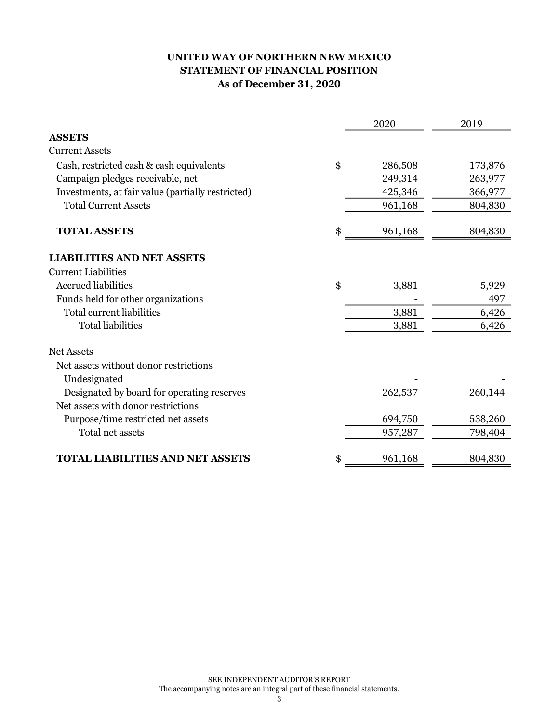# UNITED WAY OF NORTHERN NEW MEXICO STATEMENT OF FINANCIAL POSITION As of December 31, 2020

|                                                   | 2020          | 2019    |
|---------------------------------------------------|---------------|---------|
| <b>ASSETS</b>                                     |               |         |
| <b>Current Assets</b>                             |               |         |
| Cash, restricted cash & cash equivalents          | \$<br>286,508 | 173,876 |
| Campaign pledges receivable, net                  | 249,314       | 263,977 |
| Investments, at fair value (partially restricted) | 425,346       | 366,977 |
| <b>Total Current Assets</b>                       | 961,168       | 804,830 |
| <b>TOTAL ASSETS</b>                               | \$<br>961,168 | 804,830 |
| <b>LIABILITIES AND NET ASSETS</b>                 |               |         |
| <b>Current Liabilities</b>                        |               |         |
| <b>Accrued liabilities</b>                        | \$<br>3,881   | 5,929   |
| Funds held for other organizations                |               | 497     |
| Total current liabilities                         | 3,881         | 6,426   |
| <b>Total liabilities</b>                          | 3,881         | 6,426   |
| <b>Net Assets</b>                                 |               |         |
| Net assets without donor restrictions             |               |         |
| Undesignated                                      |               |         |
| Designated by board for operating reserves        | 262,537       | 260,144 |
| Net assets with donor restrictions                |               |         |
| Purpose/time restricted net assets                | 694,750       | 538,260 |
| Total net assets                                  | 957,287       | 798,404 |
| <b>TOTAL LIABILITIES AND NET ASSETS</b>           | \$<br>961,168 | 804,830 |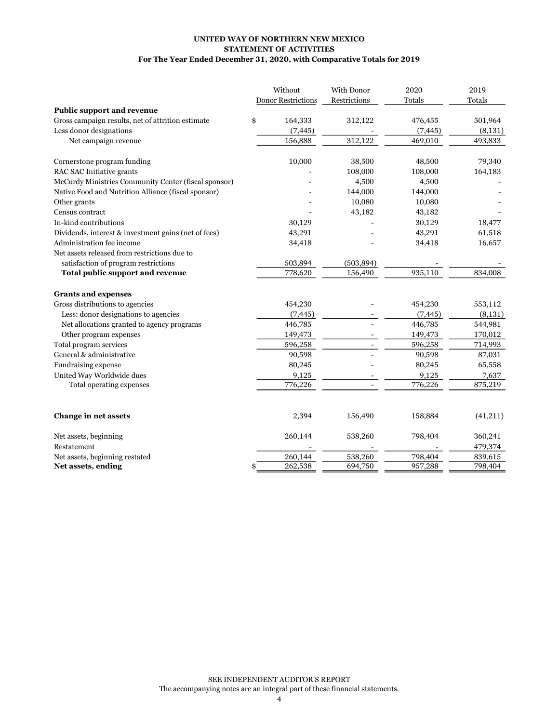#### UNITED WAY OF NORTHERN NEW MEXICO STATEMENT OF ACTIVITIES For The Year Ended December 31, 2020, with Comparative Totals for 2019

|                                                      | Without                   | With Donor   | 2020     | 2019      |
|------------------------------------------------------|---------------------------|--------------|----------|-----------|
|                                                      | <b>Donor Restrictions</b> | Restrictions | Totals   | Totals    |
| <b>Public support and revenue</b>                    |                           |              |          |           |
| Gross campaign results, net of attrition estimate    | \$<br>164,333             | 312,122      | 476,455  | 501,964   |
| Less donor designations                              | (7, 445)                  |              | (7, 445) | (8,131)   |
| Net campaign revenue                                 | 156,888                   | 312,122      | 469,010  | 493,833   |
| Cornerstone program funding                          | 10,000                    | 38,500       | 48,500   | 79,340    |
| RAC SAC Initiative grants                            |                           | 108,000      | 108,000  | 164,183   |
| McCurdy Ministries Community Center (fiscal sponsor) |                           | 4,500        | 4,500    |           |
| Native Food and Nutrition Alliance (fiscal sponsor)  |                           | 144,000      | 144,000  |           |
| Other grants                                         |                           | 10,080       | 10,080   |           |
| Census contract                                      |                           | 43,182       | 43,182   |           |
| In-kind contributions                                | 30,129                    |              | 30,129   | 18,477    |
| Dividends, interest & investment gains (net of fees) | 43,291                    |              | 43,291   | 61,518    |
| Administration fee income                            | 34,418                    |              | 34,418   | 16,657    |
| Net assets released from restrictions due to         |                           |              |          |           |
| satisfaction of program restrictions                 | 503,894                   | (503, 894)   |          |           |
| Total public support and revenue                     | 778,620                   | 156,490      | 935,110  | 834,008   |
| <b>Grants and expenses</b>                           |                           |              |          |           |
| Gross distributions to agencies                      | 454,230                   |              | 454,230  | 553,112   |
| Less: donor designations to agencies                 | (7, 445)                  |              | (7, 445) | (8, 131)  |
| Net allocations granted to agency programs           | 446,785                   |              | 446,785  | 544,981   |
| Other program expenses                               | 149,473                   |              | 149,473  | 170,012   |
| Total program services                               | 596,258                   |              | 596,258  | 714,993   |
| General & administrative                             | 90,598                    |              | 90,598   | 87,031    |
| <b>Fundraising expense</b>                           | 80,245                    |              | 80,245   | 65,558    |
| United Way Worldwide dues                            | 9,125                     |              | 9,125    | 7,637     |
| Total operating expenses                             | 776,226                   |              | 776,226  | 875,219   |
| <b>Change in net assets</b>                          | 2,394                     | 156,490      | 158,884  | (41, 211) |
| Net assets, beginning                                | 260,144                   | 538,260      | 798,404  | 360,241   |
| Restatement                                          |                           |              |          | 479,374   |
| Net assets, beginning restated                       | 260,144                   | 538,260      | 798,404  | 839,615   |
| Net assets, ending                                   | 262,538<br>\$             | 694,750      | 957,288  | 798,404   |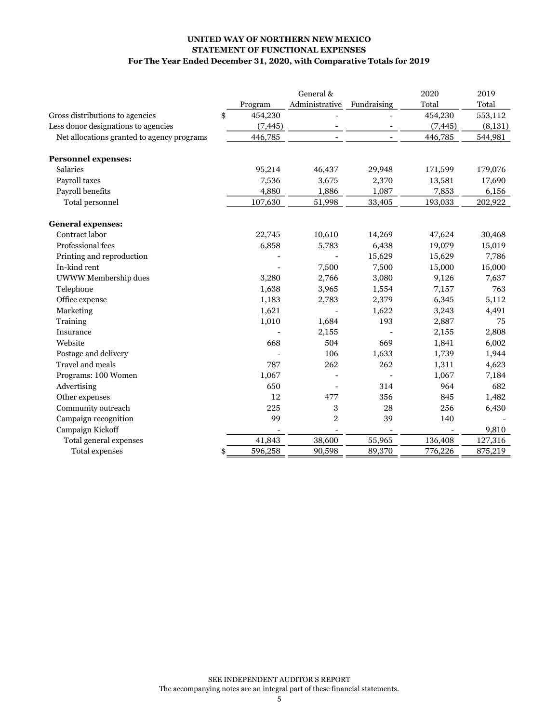#### For The Year Ended December 31, 2020, with Comparative Totals for 2019 STATEMENT OF FUNCTIONAL EXPENSES UNITED WAY OF NORTHERN NEW MEXICO

|                                            |               | General &      |             | 2020     | 2019    |
|--------------------------------------------|---------------|----------------|-------------|----------|---------|
|                                            | Program       | Administrative | Fundraising | Total    | Total   |
| Gross distributions to agencies            | 454,230<br>\$ |                |             | 454,230  | 553,112 |
| Less donor designations to agencies        | (7, 445)      |                |             | (7, 445) | (8,131) |
| Net allocations granted to agency programs | 446,785       |                |             | 446,785  | 544,981 |
| <b>Personnel expenses:</b>                 |               |                |             |          |         |
| <b>Salaries</b>                            | 95,214        | 46,437         | 29,948      | 171,599  | 179,076 |
| Payroll taxes                              | 7,536         | 3,675          | 2,370       | 13,581   | 17,690  |
| Payroll benefits                           | 4,880         | 1,886          | 1,087       | 7,853    | 6,156   |
| Total personnel                            | 107,630       | 51,998         | 33,405      | 193,033  | 202,922 |
| <b>General expenses:</b>                   |               |                |             |          |         |
| Contract labor                             | 22,745        | 10,610         | 14,269      | 47,624   | 30,468  |
| Professional fees                          | 6,858         | 5,783          | 6,438       | 19,079   | 15,019  |
| Printing and reproduction                  |               |                | 15,629      | 15,629   | 7,786   |
| In-kind rent                               |               | 7,500          | 7,500       | 15,000   | 15,000  |
| UWWW Membership dues                       | 3,280         | 2,766          | 3,080       | 9,126    | 7,637   |
| Telephone                                  | 1,638         | 3,965          | 1,554       | 7,157    | 763     |
| Office expense                             | 1,183         | 2,783          | 2,379       | 6,345    | 5,112   |
| Marketing                                  | 1,621         |                | 1,622       | 3,243    | 4,491   |
| Training                                   | 1,010         | 1,684          | 193         | 2,887    | 75      |
| Insurance                                  |               | 2,155          |             | 2,155    | 2,808   |
| Website                                    | 668           | 504            | 669         | 1,841    | 6,002   |
| Postage and delivery                       |               | 106            | 1,633       | 1,739    | 1,944   |
| Travel and meals                           | 787           | 262            | 262         | 1,311    | 4,623   |
| Programs: 100 Women                        | 1,067         |                |             | 1,067    | 7,184   |
| Advertising                                | 650           |                | 314         | 964      | 682     |
| Other expenses                             | 12            | 477            | 356         | 845      | 1,482   |
| Community outreach                         | 225           | 3              | 28          | 256      | 6,430   |
| Campaign recognition                       | 99            | $\overline{c}$ | 39          | 140      |         |
| Campaign Kickoff                           |               |                |             |          | 9,810   |
| Total general expenses                     | 41,843        | 38,600         | 55,965      | 136,408  | 127,316 |
| Total expenses                             | 596,258<br>\$ | 90,598         | 89,370      | 776,226  | 875,219 |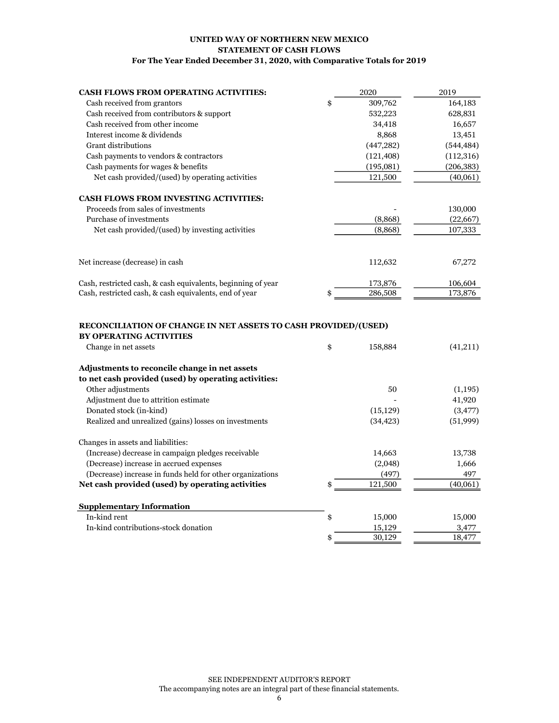#### UNITED WAY OF NORTHERN NEW MEXICO STATEMENT OF CASH FLOWS For The Year Ended December 31, 2020, with Comparative Totals for 2019

| <b>CASH FLOWS FROM OPERATING ACTIVITIES:</b>                                                                             | 2020          | 2019       |
|--------------------------------------------------------------------------------------------------------------------------|---------------|------------|
| Cash received from grantors                                                                                              | \$<br>309,762 | 164,183    |
| Cash received from contributors & support                                                                                | 532,223       | 628,831    |
| Cash received from other income                                                                                          | 34,418        | 16,657     |
| Interest income & dividends                                                                                              | 8,868         | 13,451     |
| <b>Grant distributions</b>                                                                                               | (447, 282)    | (544, 484) |
| Cash payments to vendors & contractors                                                                                   | (121, 408)    | (112, 316) |
| Cash payments for wages & benefits                                                                                       | (195,081)     | (206, 383) |
| Net cash provided/(used) by operating activities                                                                         | 121,500       | (40,061)   |
| <b>CASH FLOWS FROM INVESTING ACTIVITIES:</b>                                                                             |               |            |
| Proceeds from sales of investments                                                                                       |               | 130,000    |
| Purchase of investments                                                                                                  | (8,868)       | (22, 667)  |
| Net cash provided/(used) by investing activities                                                                         | (8,868)       | 107,333    |
| Net increase (decrease) in cash                                                                                          | 112,632       | 67,272     |
|                                                                                                                          |               |            |
| Cash, restricted cash, & cash equivalents, beginning of year                                                             | 173,876       | 106,604    |
| Cash, restricted cash, & cash equivalents, end of year                                                                   | \$<br>286,508 | 173,876    |
| RECONCILIATION OF CHANGE IN NET ASSETS TO CASH PROVIDED/(USED)<br><b>BY OPERATING ACTIVITIES</b><br>Change in net assets | \$<br>158,884 | (41,211)   |
| Adjustments to reconcile change in net assets                                                                            |               |            |
| to net cash provided (used) by operating activities:                                                                     |               |            |
| Other adjustments                                                                                                        | 50            | (1,195)    |
| Adjustment due to attrition estimate                                                                                     |               | 41,920     |
| Donated stock (in-kind)                                                                                                  | (15, 129)     | (3, 477)   |
| Realized and unrealized (gains) losses on investments                                                                    | (34, 423)     | (51, 999)  |
| Changes in assets and liabilities:                                                                                       |               |            |
| (Increase) decrease in campaign pledges receivable                                                                       | 14,663        | 13,738     |
| (Decrease) increase in accrued expenses                                                                                  | (2,048)       | 1,666      |
| (Decrease) increase in funds held for other organizations                                                                | (497)         | 497        |
| Net cash provided (used) by operating activities                                                                         | \$<br>121,500 | (40,061)   |
| <b>Supplementary Information</b>                                                                                         |               |            |
| In-kind rent                                                                                                             | \$<br>15,000  | 15,000     |
| In-kind contributions-stock donation                                                                                     | 15,129        | 3,477      |
|                                                                                                                          | \$<br>30,129  | 18,477     |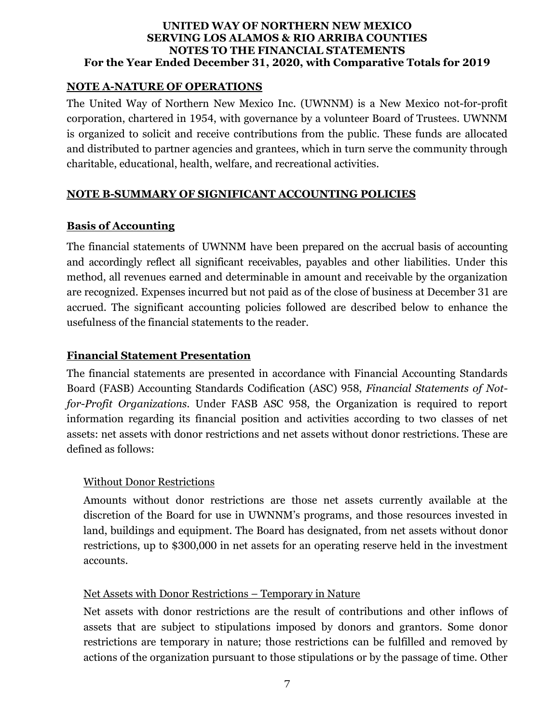#### **NOTE A-NATURE OF OPERATIONS**

The United Way of Northern New Mexico Inc. (UWNNM) is a New Mexico not-for-profit corporation, chartered in 1954, with governance by a volunteer Board of Trustees. UWNNM is organized to solicit and receive contributions from the public. These funds are allocated and distributed to partner agencies and grantees, which in turn serve the community through charitable, educational, health, welfare, and recreational activities.

# **NOTE B-SUMMARY OF SIGNIFICANT ACCOUNTING POLICIES**

# **Basis of Accounting**

The financial statements of UWNNM have been prepared on the accrual basis of accounting and accordingly reflect all significant receivables, payables and other liabilities. Under this method, all revenues earned and determinable in amount and receivable by the organization are recognized. Expenses incurred but not paid as of the close of business at December 31 are accrued. The significant accounting policies followed are described below to enhance the usefulness of the financial statements to the reader.

# **Financial Statement Presentation**

The financial statements are presented in accordance with Financial Accounting Standards Board (FASB) Accounting Standards Codification (ASC) 958, *Financial Statements of Notfor-Profit Organizations*. Under FASB ASC 958, the Organization is required to report information regarding its financial position and activities according to two classes of net assets: net assets with donor restrictions and net assets without donor restrictions. These are defined as follows:

# Without Donor Restrictions

Amounts without donor restrictions are those net assets currently available at the discretion of the Board for use in UWNNM's programs, and those resources invested in land, buildings and equipment. The Board has designated, from net assets without donor restrictions, up to \$300,000 in net assets for an operating reserve held in the investment accounts.

# Net Assets with Donor Restrictions – Temporary in Nature

Net assets with donor restrictions are the result of contributions and other inflows of assets that are subject to stipulations imposed by donors and grantors. Some donor restrictions are temporary in nature; those restrictions can be fulfilled and removed by actions of the organization pursuant to those stipulations or by the passage of time. Other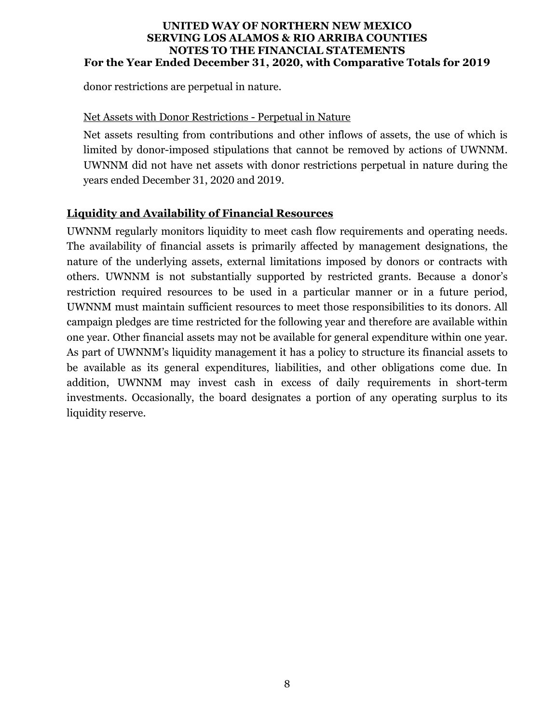donor restrictions are perpetual in nature.

#### Net Assets with Donor Restrictions - Perpetual in Nature

Net assets resulting from contributions and other inflows of assets, the use of which is limited by donor-imposed stipulations that cannot be removed by actions of UWNNM. UWNNM did not have net assets with donor restrictions perpetual in nature during the years ended December 31, 2020 and 2019.

#### **Liquidity and Availability of Financial Resources**

UWNNM regularly monitors liquidity to meet cash flow requirements and operating needs. The availability of financial assets is primarily affected by management designations, the nature of the underlying assets, external limitations imposed by donors or contracts with others. UWNNM is not substantially supported by restricted grants. Because a donor's restriction required resources to be used in a particular manner or in a future period, UWNNM must maintain sufficient resources to meet those responsibilities to its donors. All campaign pledges are time restricted for the following year and therefore are available within one year. Other financial assets may not be available for general expenditure within one year. As part of UWNNM's liquidity management it has a policy to structure its financial assets to be available as its general expenditures, liabilities, and other obligations come due. In addition, UWNNM may invest cash in excess of daily requirements in short-term investments. Occasionally, the board designates a portion of any operating surplus to its liquidity reserve.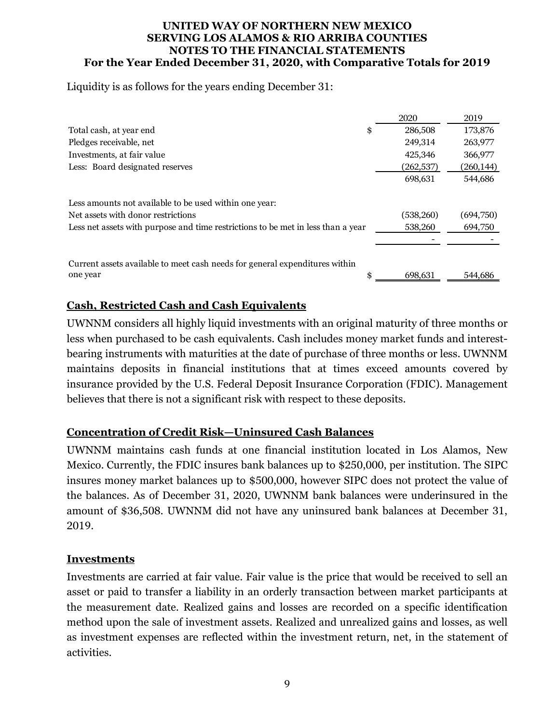Liquidity is as follows for the years ending December 31:

|                                                                                  | 2020          | 2019       |
|----------------------------------------------------------------------------------|---------------|------------|
| Total cash, at year end                                                          | \$<br>286,508 | 173,876    |
| Pledges receivable, net                                                          | 249,314       | 263,977    |
| Investments, at fair value                                                       | 425,346       | 366,977    |
| Less: Board designated reserves                                                  | (262,537)     | (260, 144) |
|                                                                                  | 698,631       | 544,686    |
| Less amounts not available to be used within one year:                           |               |            |
| Net assets with donor restrictions                                               | (538, 260)    | (694,750)  |
| Less net assets with purpose and time restrictions to be met in less than a year | 538,260       | 694,750    |
|                                                                                  |               |            |
|                                                                                  |               |            |
| Current assets available to meet cash needs for general expenditures within      |               |            |
| one year                                                                         | \$<br>698,631 | 544,686    |

# **Cash, Restricted Cash and Cash Equivalents**

UWNNM considers all highly liquid investments with an original maturity of three months or less when purchased to be cash equivalents. Cash includes money market funds and interestbearing instruments with maturities at the date of purchase of three months or less. UWNNM maintains deposits in financial institutions that at times exceed amounts covered by insurance provided by the U.S. Federal Deposit Insurance Corporation (FDIC). Management believes that there is not a significant risk with respect to these deposits.

# **Concentration of Credit Risk—Uninsured Cash Balances**

UWNNM maintains cash funds at one financial institution located in Los Alamos, New Mexico. Currently, the FDIC insures bank balances up to \$250,000, per institution. The SIPC insures money market balances up to \$500,000, however SIPC does not protect the value of the balances. As of December 31, 2020, UWNNM bank balances were underinsured in the amount of \$36,508. UWNNM did not have any uninsured bank balances at December 31, 2019.

#### **Investments**

Investments are carried at fair value. Fair value is the price that would be received to sell an asset or paid to transfer a liability in an orderly transaction between market participants at the measurement date. Realized gains and losses are recorded on a specific identification method upon the sale of investment assets. Realized and unrealized gains and losses, as well as investment expenses are reflected within the investment return, net, in the statement of activities.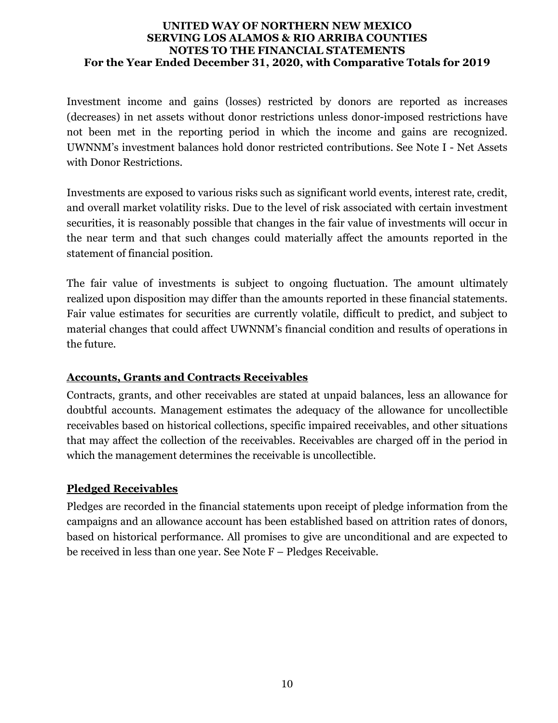Investment income and gains (losses) restricted by donors are reported as increases (decreases) in net assets without donor restrictions unless donor-imposed restrictions have not been met in the reporting period in which the income and gains are recognized. UWNNM's investment balances hold donor restricted contributions. See Note I - Net Assets with Donor Restrictions.

Investments are exposed to various risks such as significant world events, interest rate, credit, and overall market volatility risks. Due to the level of risk associated with certain investment securities, it is reasonably possible that changes in the fair value of investments will occur in the near term and that such changes could materially affect the amounts reported in the statement of financial position.

The fair value of investments is subject to ongoing fluctuation. The amount ultimately realized upon disposition may differ than the amounts reported in these financial statements. Fair value estimates for securities are currently volatile, difficult to predict, and subject to material changes that could affect UWNNM's financial condition and results of operations in the future.

# **Accounts, Grants and Contracts Receivables**

Contracts, grants, and other receivables are stated at unpaid balances, less an allowance for doubtful accounts. Management estimates the adequacy of the allowance for uncollectible receivables based on historical collections, specific impaired receivables, and other situations that may affect the collection of the receivables. Receivables are charged off in the period in which the management determines the receivable is uncollectible.

# **Pledged Receivables**

Pledges are recorded in the financial statements upon receipt of pledge information from the campaigns and an allowance account has been established based on attrition rates of donors, based on historical performance. All promises to give are unconditional and are expected to be received in less than one year. See Note F – Pledges Receivable.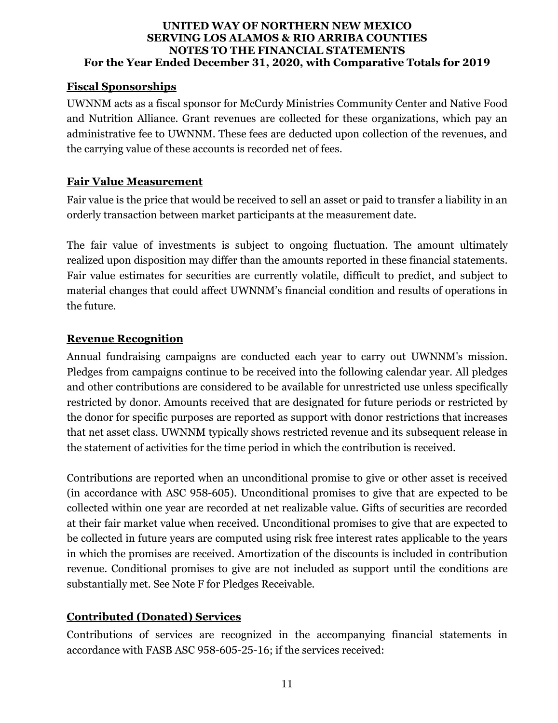# **Fiscal Sponsorships**

UWNNM acts as a fiscal sponsor for McCurdy Ministries Community Center and Native Food and Nutrition Alliance. Grant revenues are collected for these organizations, which pay an administrative fee to UWNNM. These fees are deducted upon collection of the revenues, and the carrying value of these accounts is recorded net of fees.

# **Fair Value Measurement**

Fair value is the price that would be received to sell an asset or paid to transfer a liability in an orderly transaction between market participants at the measurement date.

The fair value of investments is subject to ongoing fluctuation. The amount ultimately realized upon disposition may differ than the amounts reported in these financial statements. Fair value estimates for securities are currently volatile, difficult to predict, and subject to material changes that could affect UWNNM's financial condition and results of operations in the future.

# **Revenue Recognition**

Annual fundraising campaigns are conducted each year to carry out UWNNM's mission. Pledges from campaigns continue to be received into the following calendar year. All pledges and other contributions are considered to be available for unrestricted use unless specifically restricted by donor. Amounts received that are designated for future periods or restricted by the donor for specific purposes are reported as support with donor restrictions that increases that net asset class. UWNNM typically shows restricted revenue and its subsequent release in the statement of activities for the time period in which the contribution is received.

Contributions are reported when an unconditional promise to give or other asset is received (in accordance with ASC 958-605). Unconditional promises to give that are expected to be collected within one year are recorded at net realizable value. Gifts of securities are recorded at their fair market value when received. Unconditional promises to give that are expected to be collected in future years are computed using risk free interest rates applicable to the years in which the promises are received. Amortization of the discounts is included in contribution revenue. Conditional promises to give are not included as support until the conditions are substantially met. See Note F for Pledges Receivable.

# **Contributed (Donated) Services**

Contributions of services are recognized in the accompanying financial statements in accordance with FASB ASC 958-605-25-16; if the services received: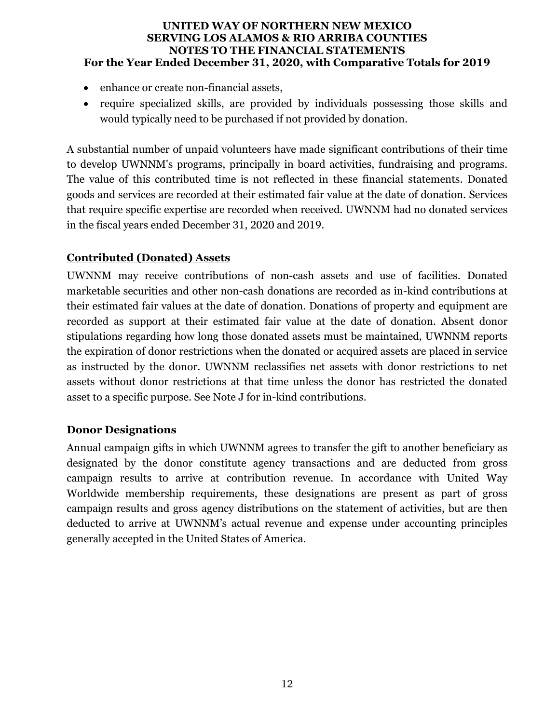- enhance or create non-financial assets,
- require specialized skills, are provided by individuals possessing those skills and would typically need to be purchased if not provided by donation.

A substantial number of unpaid volunteers have made significant contributions of their time to develop UWNNM's programs, principally in board activities, fundraising and programs. The value of this contributed time is not reflected in these financial statements. Donated goods and services are recorded at their estimated fair value at the date of donation. Services that require specific expertise are recorded when received. UWNNM had no donated services in the fiscal years ended December 31, 2020 and 2019.

# **Contributed (Donated) Assets**

UWNNM may receive contributions of non-cash assets and use of facilities. Donated marketable securities and other non-cash donations are recorded as in-kind contributions at their estimated fair values at the date of donation. Donations of property and equipment are recorded as support at their estimated fair value at the date of donation. Absent donor stipulations regarding how long those donated assets must be maintained, UWNNM reports the expiration of donor restrictions when the donated or acquired assets are placed in service as instructed by the donor. UWNNM reclassifies net assets with donor restrictions to net assets without donor restrictions at that time unless the donor has restricted the donated asset to a specific purpose. See Note J for in-kind contributions.

# **Donor Designations**

Annual campaign gifts in which UWNNM agrees to transfer the gift to another beneficiary as designated by the donor constitute agency transactions and are deducted from gross campaign results to arrive at contribution revenue. In accordance with United Way Worldwide membership requirements, these designations are present as part of gross campaign results and gross agency distributions on the statement of activities, but are then deducted to arrive at UWNNM's actual revenue and expense under accounting principles generally accepted in the United States of America.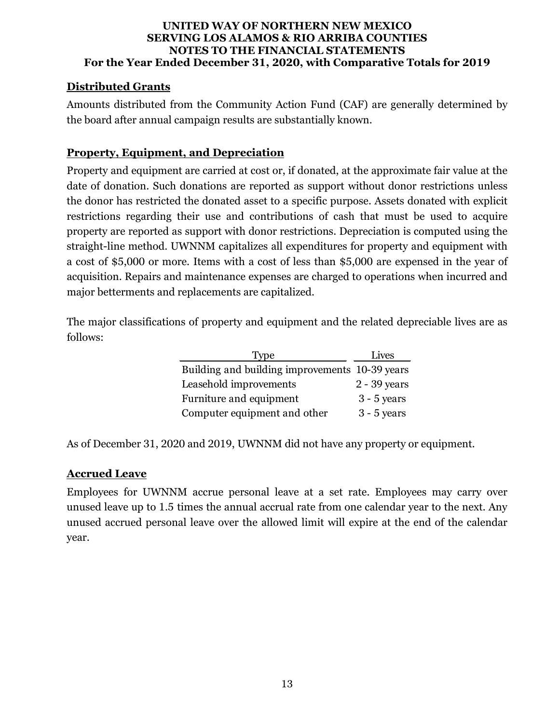# **Distributed Grants**

Amounts distributed from the Community Action Fund (CAF) are generally determined by the board after annual campaign results are substantially known.

# **Property, Equipment, and Depreciation**

Property and equipment are carried at cost or, if donated, at the approximate fair value at the date of donation. Such donations are reported as support without donor restrictions unless the donor has restricted the donated asset to a specific purpose. Assets donated with explicit restrictions regarding their use and contributions of cash that must be used to acquire property are reported as support with donor restrictions. Depreciation is computed using the straight-line method. UWNNM capitalizes all expenditures for property and equipment with a cost of \$5,000 or more. Items with a cost of less than \$5,000 are expensed in the year of acquisition. Repairs and maintenance expenses are charged to operations when incurred and major betterments and replacements are capitalized.

The major classifications of property and equipment and the related depreciable lives are as follows:

| Type                                           | Lives         |
|------------------------------------------------|---------------|
| Building and building improvements 10-39 years |               |
| Leasehold improvements                         | 2 - 39 years  |
| Furniture and equipment                        | $3 - 5$ years |
| Computer equipment and other                   | $3 - 5$ years |

As of December 31, 2020 and 2019, UWNNM did not have any property or equipment.

# **Accrued Leave**

Employees for UWNNM accrue personal leave at a set rate. Employees may carry over unused leave up to 1.5 times the annual accrual rate from one calendar year to the next. Any unused accrued personal leave over the allowed limit will expire at the end of the calendar year.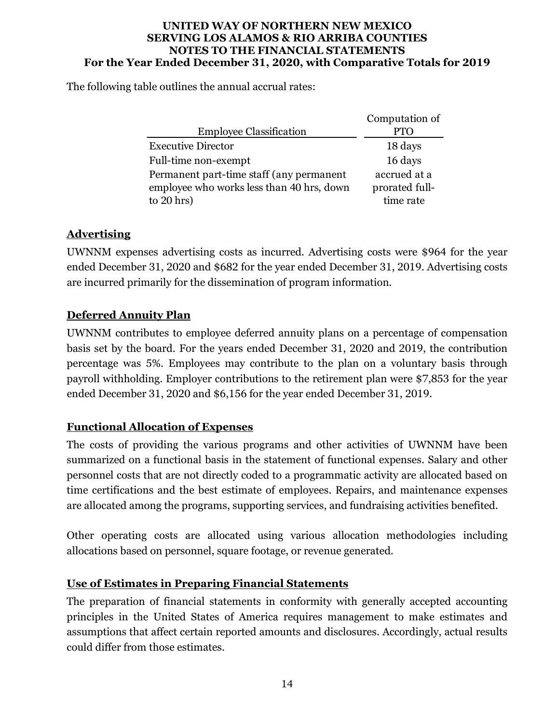The following table outlines the annual accrual rates:

|                                           | Computation of |
|-------------------------------------------|----------------|
| <b>Employee Classification</b>            |                |
| <b>Executive Director</b>                 | 18 days        |
| Full-time non-exempt                      | 16 days        |
| Permanent part-time staff (any permanent  | accrued at a   |
| employee who works less than 40 hrs, down | prorated full- |
| to $20$ hrs)                              | time rate      |

# **Advertising**

UWNNM expenses advertising costs as incurred. Advertising costs were \$964 for the year ended December 31, 2020 and \$682 for the year ended December 31, 2019. Advertising costs are incurred primarily for the dissemination of program information.

# **Deferred Annuity Plan**

UWNNM contributes to employee deferred annuity plans on a percentage of compensation basis set by the board. For the years ended December 31, 2020 and 2019, the contribution percentage was 5%. Employees may contribute to the plan on a voluntary basis through payroll withholding. Employer contributions to the retirement plan were \$7,853 for the year ended December 31, 2020 and \$6,156 for the year ended December 31, 2019.

# **Functional Allocation of Expenses**

The costs of providing the various programs and other activities of UWNNM have been summarized on a functional basis in the statement of functional expenses. Salary and other personnel costs that are not directly coded to a programmatic activity are allocated based on time certifications and the best estimate of employees. Repairs, and maintenance expenses are allocated among the programs, supporting services, and fundraising activities benefited.

Other operating costs are allocated using various allocation methodologies including allocations based on personnel, square footage, or revenue generated.

# **Use of Estimates in Preparing Financial Statements**

The preparation of financial statements in conformity with generally accepted accounting principles in the United States of America requires management to make estimates and assumptions that affect certain reported amounts and disclosures. Accordingly, actual results could differ from those estimates.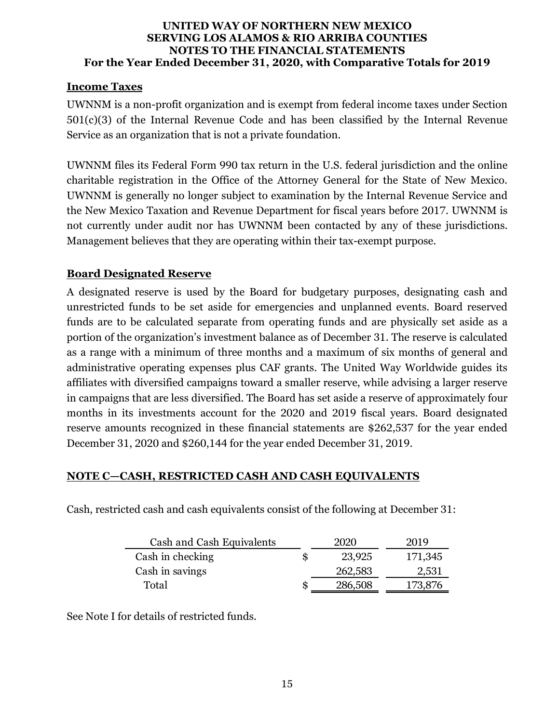#### **Income Taxes**

UWNNM is a non-profit organization and is exempt from federal income taxes under Section  $501(c)(3)$  of the Internal Revenue Code and has been classified by the Internal Revenue Service as an organization that is not a private foundation.

UWNNM files its Federal Form 990 tax return in the U.S. federal jurisdiction and the online charitable registration in the Office of the Attorney General for the State of New Mexico. UWNNM is generally no longer subject to examination by the Internal Revenue Service and the New Mexico Taxation and Revenue Department for fiscal years before 2017. UWNNM is not currently under audit nor has UWNNM been contacted by any of these jurisdictions. Management believes that they are operating within their tax-exempt purpose.

# **Board Designated Reserve**

A designated reserve is used by the Board for budgetary purposes, designating cash and unrestricted funds to be set aside for emergencies and unplanned events. Board reserved funds are to be calculated separate from operating funds and are physically set aside as a portion of the organization's investment balance as of December 31. The reserve is calculated as a range with a minimum of three months and a maximum of six months of general and administrative operating expenses plus CAF grants. The United Way Worldwide guides its affiliates with diversified campaigns toward a smaller reserve, while advising a larger reserve in campaigns that are less diversified. The Board has set aside a reserve of approximately four months in its investments account for the 2020 and 2019 fiscal years. Board designated reserve amounts recognized in these financial statements are \$262,537 for the year ended December 31, 2020 and \$260,144 for the year ended December 31, 2019.

# **NOTE C—CASH, RESTRICTED CASH AND CASH EQUIVALENTS**

| Cash and Cash Equivalents | 2020    | 2019    |
|---------------------------|---------|---------|
| Cash in checking          | 23,925  | 171,345 |
| Cash in savings           | 262,583 | 2,531   |
| Total                     | 286,508 |         |

Cash, restricted cash and cash equivalents consist of the following at December 31:

See Note I for details of restricted funds.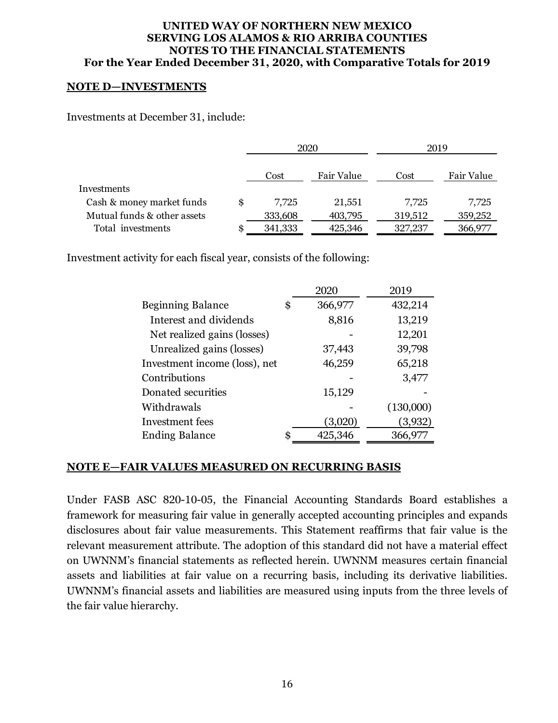#### **NOTE D—INVESTMENTS**

Investments at December 31, include:

|                             | 2020    |            | 2019    |            |
|-----------------------------|---------|------------|---------|------------|
|                             | Cost    | Fair Value | Cost    | Fair Value |
| Investments                 |         |            |         |            |
| Cash & money market funds   | 7.725   | 21,551     | 7.725   | 7,725      |
| Mutual funds & other assets | 333,608 | 403,795    | 319,512 | 359,252    |
| Total investments           | 341,333 | 425,346    | 327,237 | 366,977    |

Investment activity for each fiscal year, consists of the following:

|                               | 2020          | 2019      |
|-------------------------------|---------------|-----------|
| <b>Beginning Balance</b>      | \$<br>366,977 | 432,214   |
| Interest and dividends        | 8,816         | 13,219    |
| Net realized gains (losses)   |               | 12,201    |
| Unrealized gains (losses)     | 37,443        | 39,798    |
| Investment income (loss), net | 46,259        | 65,218    |
| Contributions                 |               | 3,477     |
| Donated securities            | 15,129        |           |
| Withdrawals                   |               | (130,000) |
| Investment fees               | (3,020)       | (3,932)   |
| <b>Ending Balance</b>         | \$<br>425,346 | 366,977   |

#### **NOTE E—FAIR VALUES MEASURED ON RECURRING BASIS**

Under FASB ASC 820-10-05, the Financial Accounting Standards Board establishes a framework for measuring fair value in generally accepted accounting principles and expands disclosures about fair value measurements. This Statement reaffirms that fair value is the relevant measurement attribute. The adoption of this standard did not have a material effect on UWNNM's financial statements as reflected herein. UWNNM measures certain financial assets and liabilities at fair value on a recurring basis, including its derivative liabilities. UWNNM's financial assets and liabilities are measured using inputs from the three levels of the fair value hierarchy.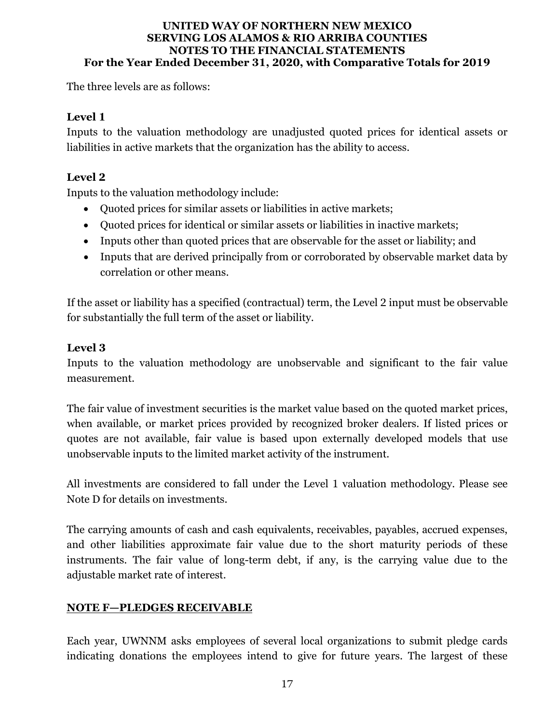The three levels are as follows:

# **Level 1**

Inputs to the valuation methodology are unadjusted quoted prices for identical assets or liabilities in active markets that the organization has the ability to access.

# **Level 2**

Inputs to the valuation methodology include:

- Quoted prices for similar assets or liabilities in active markets;
- Quoted prices for identical or similar assets or liabilities in inactive markets;
- Inputs other than quoted prices that are observable for the asset or liability; and
- Inputs that are derived principally from or corroborated by observable market data by correlation or other means.

If the asset or liability has a specified (contractual) term, the Level 2 input must be observable for substantially the full term of the asset or liability.

# **Level 3**

Inputs to the valuation methodology are unobservable and significant to the fair value measurement.

The fair value of investment securities is the market value based on the quoted market prices, when available, or market prices provided by recognized broker dealers. If listed prices or quotes are not available, fair value is based upon externally developed models that use unobservable inputs to the limited market activity of the instrument.

All investments are considered to fall under the Level 1 valuation methodology. Please see Note D for details on investments.

The carrying amounts of cash and cash equivalents, receivables, payables, accrued expenses, and other liabilities approximate fair value due to the short maturity periods of these instruments. The fair value of long-term debt, if any, is the carrying value due to the adjustable market rate of interest.

# **NOTE F—PLEDGES RECEIVABLE**

Each year, UWNNM asks employees of several local organizations to submit pledge cards indicating donations the employees intend to give for future years. The largest of these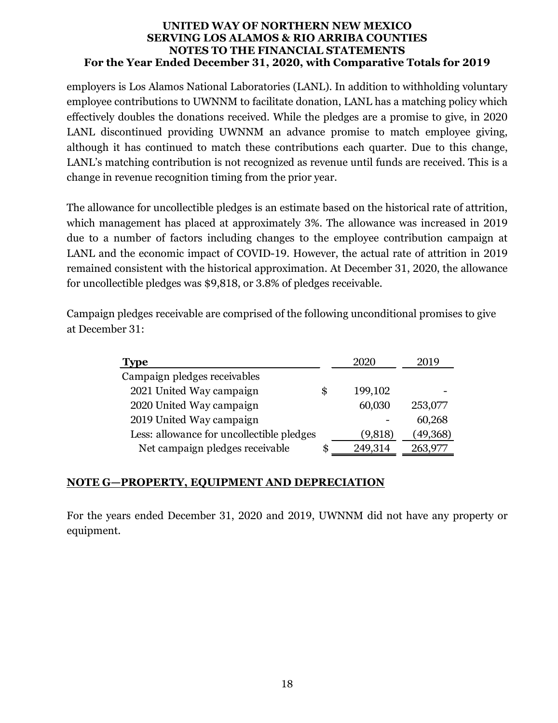employers is Los Alamos National Laboratories (LANL). In addition to withholding voluntary employee contributions to UWNNM to facilitate donation, LANL has a matching policy which effectively doubles the donations received. While the pledges are a promise to give, in 2020 LANL discontinued providing UWNNM an advance promise to match employee giving, although it has continued to match these contributions each quarter. Due to this change, LANL's matching contribution is not recognized as revenue until funds are received. This is a change in revenue recognition timing from the prior year.

The allowance for uncollectible pledges is an estimate based on the historical rate of attrition, which management has placed at approximately 3%. The allowance was increased in 2019 due to a number of factors including changes to the employee contribution campaign at LANL and the economic impact of COVID-19. However, the actual rate of attrition in 2019 remained consistent with the historical approximation. At December 31, 2020, the allowance for uncollectible pledges was \$9,818, or 3.8% of pledges receivable.

Campaign pledges receivable are comprised of the following unconditional promises to give at December 31:

| Type                                      |    | 2020    | 2019      |
|-------------------------------------------|----|---------|-----------|
| Campaign pledges receivables              |    |         |           |
| 2021 United Way campaign                  | \$ | 199,102 |           |
| 2020 United Way campaign                  |    | 60,030  | 253,077   |
| 2019 United Way campaign                  |    |         | 60,268    |
| Less: allowance for uncollectible pledges |    | (9,818) | (49, 368) |
| Net campaign pledges receivable           | S  | 249,314 | 263,97    |

# **NOTE G—PROPERTY, EQUIPMENT AND DEPRECIATION**

For the years ended December 31, 2020 and 2019, UWNNM did not have any property or equipment.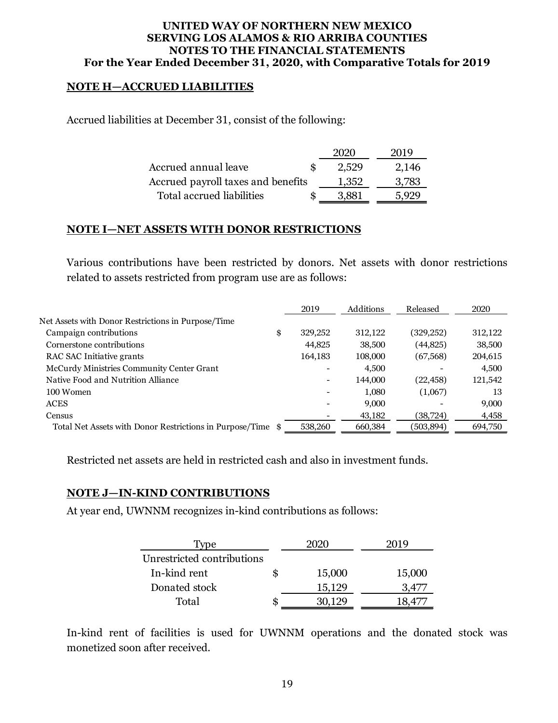#### **NOTE H—ACCRUED LIABILITIES**

Accrued liabilities at December 31, consist of the following:

|                                    | 2020  | 2019  |
|------------------------------------|-------|-------|
| Accrued annual leave               | 2.529 | 2,146 |
| Accrued payroll taxes and benefits | 1.352 | 3,783 |
| Total accrued liabilities          | 3.881 | , 999 |

#### **NOTE I—NET ASSETS WITH DONOR RESTRICTIONS**

Various contributions have been restricted by donors. Net assets with donor restrictions related to assets restricted from program use are as follows:

|                                                             | 2019                     | Additions | Released   | 2020    |
|-------------------------------------------------------------|--------------------------|-----------|------------|---------|
| Net Assets with Donor Restrictions in Purpose/Time          |                          |           |            |         |
| Campaign contributions                                      | \$<br>329,252            | 312,122   | (329, 252) | 312,122 |
| Cornerstone contributions                                   | 44,825                   | 38,500    | (44,825)   | 38,500  |
| RAC SAC Initiative grants                                   | 164,183                  | 108,000   | (67, 568)  | 204,615 |
| McCurdy Ministries Community Center Grant                   |                          | 4,500     |            | 4,500   |
| Native Food and Nutrition Alliance                          | $\overline{\phantom{0}}$ | 144,000   | (22, 458)  | 121,542 |
| 100 Women                                                   |                          | 1,080     | (1,067)    | 13      |
| <b>ACES</b>                                                 |                          | 9,000     |            | 9,000   |
| Census                                                      |                          | 43,182    | (38, 724)  | 4,458   |
| Total Net Assets with Donor Restrictions in Purpose/Time \$ | 538,260                  | 660,384   | (503, 894) | 694,750 |

Restricted net assets are held in restricted cash and also in investment funds.

#### **NOTE J—IN-KIND CONTRIBUTIONS**

At year end, UWNNM recognizes in-kind contributions as follows:

| .vpe                       |    |        |        |
|----------------------------|----|--------|--------|
| Unrestricted contributions |    |        |        |
| In-kind rent               | S  | 15,000 | 15,000 |
| Donated stock              |    | 15,129 | 3 47   |
| Total                      | æ. | 30.129 |        |

In-kind rent of facilities is used for UWNNM operations and the donated stock was monetized soon after received.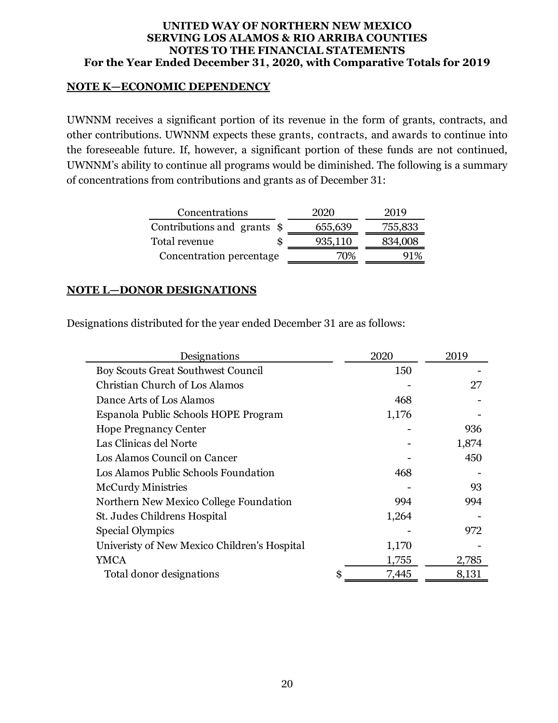#### **NOTE K—ECONOMIC DEPENDENCY**

UWNNM receives a significant portion of its revenue in the form of grants, contracts, and other contributions. UWNNM expects these grants, contracts, and awards to continue into the foreseeable future. If, however, a significant portion of these funds are not continued, UWNNM's ability to continue all programs would be diminished. The following is a summary of concentrations from contributions and grants as of December 31:

| Concentrations              | 2020    | 2019    |
|-----------------------------|---------|---------|
| Contributions and grants \$ | 655,639 | 755,833 |
| Total revenue               | 935,110 | 834,008 |
| Concentration percentage    | 70%     | 91%     |

#### **NOTE L—DONOR DESIGNATIONS**

Designations distributed for the year ended December 31 are as follows:

| Designations                                 | 2020        | 2019  |
|----------------------------------------------|-------------|-------|
| Boy Scouts Great Southwest Council           | 150         |       |
| Christian Church of Los Alamos               |             | 27    |
| Dance Arts of Los Alamos                     | 468         |       |
| Espanola Public Schools HOPE Program         | 1,176       |       |
| <b>Hope Pregnancy Center</b>                 |             | 936   |
| Las Clinicas del Norte                       |             | 1,874 |
| Los Alamos Council on Cancer                 |             | 450   |
| Los Alamos Public Schools Foundation         | 468         |       |
| <b>McCurdy Ministries</b>                    |             | 93    |
| Northern New Mexico College Foundation       | 994         | 994   |
| St. Judes Childrens Hospital                 | 1,264       |       |
| Special Olympics                             |             | 972   |
| Univeristy of New Mexico Children's Hospital | 1,170       |       |
| YMCA                                         | 1,755       | 2,785 |
| Total donor designations                     | 7,445<br>\$ | 8,131 |